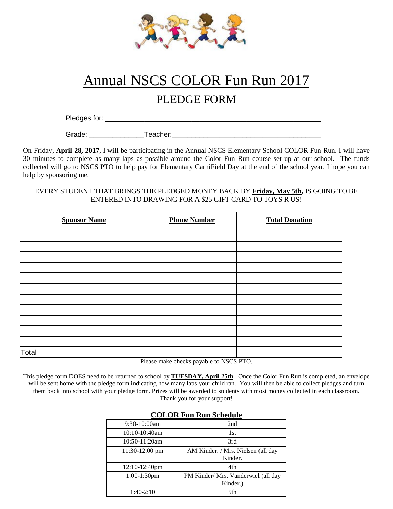

## Annual NSCS COLOR Fun Run 2017

## PLEDGE FORM

Pledges for:  $\blacksquare$ 

Grade: \_\_\_\_\_\_\_\_\_\_\_\_\_\_Teacher:\_\_\_\_\_\_\_\_\_\_\_\_\_\_\_\_\_\_\_\_\_\_\_\_\_\_\_\_\_\_\_\_\_\_\_\_\_\_

On Friday, **April 28, 2017**, I will be participating in the Annual NSCS Elementary School COLOR Fun Run. I will have 30 minutes to complete as many laps as possible around the Color Fun Run course set up at our school. The funds collected will go to NSCS PTO to help pay for Elementary CarniField Day at the end of the school year. I hope you can help by sponsoring me.

## EVERY STUDENT THAT BRINGS THE PLEDGED MONEY BACK BY **Friday, May 5th,** IS GOING TO BE ENTERED INTO DRAWING FOR A \$25 GIFT CARD TO TOYS R US!

| <b>Sponsor Name</b> | <b>Phone Number</b> | <b>Total Donation</b> |
|---------------------|---------------------|-----------------------|
|                     |                     |                       |
|                     |                     |                       |
|                     |                     |                       |
|                     |                     |                       |
|                     |                     |                       |
|                     |                     |                       |
|                     |                     |                       |
|                     |                     |                       |
|                     |                     |                       |
|                     |                     |                       |
|                     |                     |                       |
| Total               |                     |                       |

Please make checks payable to NSCS PTO.

This pledge form DOES need to be returned to school by **TUESDAY, April 25th**. Once the Color Fun Run is completed, an envelope will be sent home with the pledge form indicating how many laps your child ran. You will then be able to collect pledges and turn them back into school with your pledge form. Prizes will be awarded to students with most money collected in each classroom. Thank you for your support!

| UULUN FUII NUII SUITUUIT |                                                 |  |
|--------------------------|-------------------------------------------------|--|
| $9:30-10:00am$           | 2nd                                             |  |
| 10:10-10:40am            | 1st                                             |  |
| 10:50-11:20am            | 3rd                                             |  |
| 11:30-12:00 pm           | AM Kinder. / Mrs. Nielsen (all day<br>Kinder.   |  |
| 12:10-12:40pm            | 4th                                             |  |
| 1:00-1:30pm              | PM Kinder/ Mrs. Vanderwiel (all day<br>Kinder.) |  |
| $1:40-2:10$              | 5th                                             |  |

## **COLOR Fun Run Schedule**